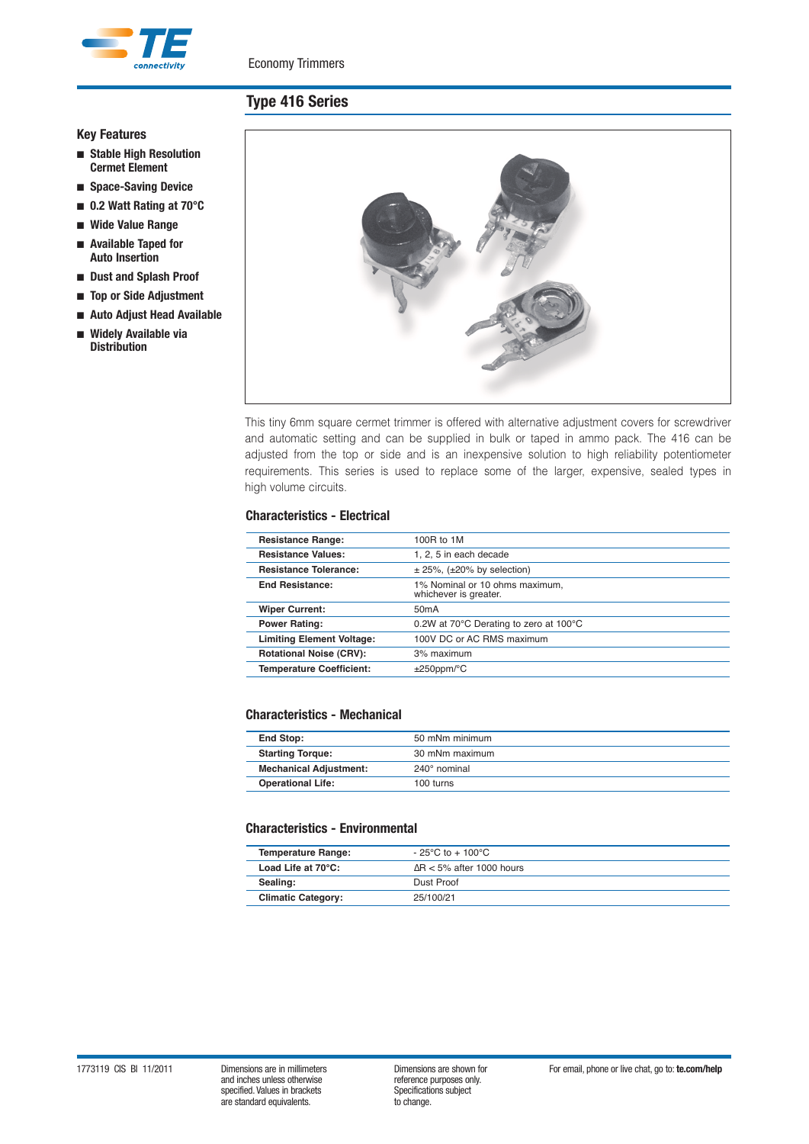

# **Type 416 Series**

### **Key Features**

- **Stable High Resolution Cermet Element**
- **Space-Saving Device**
- **0.2 Watt Rating at 70°C**
- **Wide Value Range**
- **Available Taped for Auto Insertion**
- **Dust and Splash Proof**
- **Top or Side Adjustment**
- **Auto Adjust Head Available**
- **Widely Available via Distribution**



This tiny 6mm square cermet trimmer is offered with alternative adjustment covers for screwdriver and automatic setting and can be supplied in bulk or taped in ammo pack. The 416 can be adjusted from the top or side and is an inexpensive solution to high reliability potentiometer requirements. This series is used to replace some of the larger, expensive, sealed types in high volume circuits.

#### **Characteristics - Electrical**

| <b>Resistance Range:</b>         | 100R to 1M                                              |
|----------------------------------|---------------------------------------------------------|
| <b>Resistance Values:</b>        | 1, 2, 5 in each decade                                  |
| <b>Resistance Tolerance:</b>     | $\pm$ 25%, ( $\pm$ 20% by selection)                    |
| <b>End Resistance:</b>           | 1% Nominal or 10 ohms maximum,<br>whichever is greater. |
| <b>Wiper Current:</b>            | 50 <sub>m</sub> A                                       |
| <b>Power Rating:</b>             | 0.2W at 70°C Derating to zero at 100°C                  |
| <b>Limiting Element Voltage:</b> | 100V DC or AC RMS maximum                               |
| <b>Rotational Noise (CRV):</b>   | 3% maximum                                              |
| <b>Temperature Coefficient:</b>  | $±250$ ppm/ $°C$                                        |
|                                  |                                                         |

#### **Characteristics - Mechanical**

| End Stop:                     | 50 mNm minimum |
|-------------------------------|----------------|
| <b>Starting Torque:</b>       | 30 mNm maximum |
| <b>Mechanical Adjustment:</b> | 240° nominal   |
| <b>Operational Life:</b>      | 100 turns      |

#### **Characteristics - Environmental**

| <b>Temperature Range:</b>    | $-25^{\circ}$ C to + 100 $^{\circ}$ C |
|------------------------------|---------------------------------------|
| Load Life at $70^{\circ}$ C: | $\Delta$ R < 5% after 1000 hours      |
| Sealing:                     | Dust Proof                            |
| <b>Climatic Category:</b>    | 25/100/21                             |